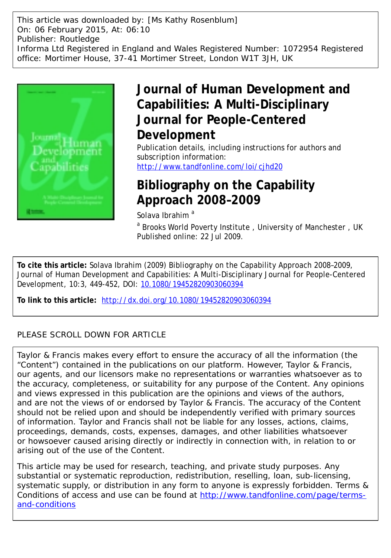This article was downloaded by: [Ms Kathy Rosenblum] On: 06 February 2015, At: 06:10 Publisher: Routledge Informa Ltd Registered in England and Wales Registered Number: 1072954 Registered office: Mortimer House, 37-41 Mortimer Street, London W1T 3JH, UK



## **Journal of Human Development and Capabilities: A Multi-Disciplinary Journal for People-Centered Development**

Publication details, including instructions for authors and subscription information: <http://www.tandfonline.com/loi/cjhd20>

## **Bibliography on the Capability Approach 2008–2009**

Solava Ibrahim<sup>a</sup>

<sup>a</sup> Brooks World Poverty Institute, University of Manchester, UK Published online: 22 Jul 2009.

**To cite this article:** Solava Ibrahim (2009) Bibliography on the Capability Approach 2008–2009, Journal of Human Development and Capabilities: A Multi-Disciplinary Journal for People-Centered Development, 10:3, 449-452, DOI: [10.1080/19452820903060394](http://www.tandfonline.com/action/showCitFormats?doi=10.1080/19452820903060394)

**To link to this article:** <http://dx.doi.org/10.1080/19452820903060394>

### PLEASE SCROLL DOWN FOR ARTICLE

Taylor & Francis makes every effort to ensure the accuracy of all the information (the "Content") contained in the publications on our platform. However, Taylor & Francis, our agents, and our licensors make no representations or warranties whatsoever as to the accuracy, completeness, or suitability for any purpose of the Content. Any opinions and views expressed in this publication are the opinions and views of the authors, and are not the views of or endorsed by Taylor & Francis. The accuracy of the Content should not be relied upon and should be independently verified with primary sources of information. Taylor and Francis shall not be liable for any losses, actions, claims, proceedings, demands, costs, expenses, damages, and other liabilities whatsoever or howsoever caused arising directly or indirectly in connection with, in relation to or arising out of the use of the Content.

This article may be used for research, teaching, and private study purposes. Any substantial or systematic reproduction, redistribution, reselling, loan, sub-licensing, systematic supply, or distribution in any form to anyone is expressly forbidden. Terms & Conditions of access and use can be found at [http://www.tandfonline.com/page/terms](http://www.tandfonline.com/page/terms-and-conditions)[and-conditions](http://www.tandfonline.com/page/terms-and-conditions)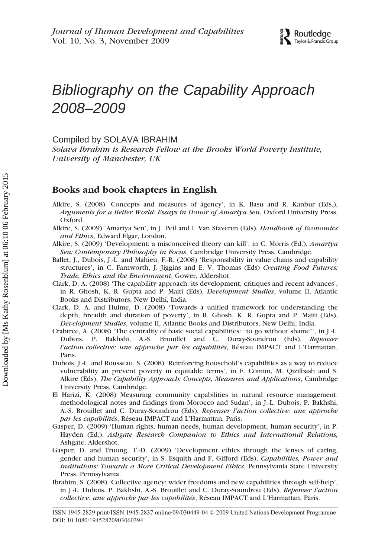

# Bibliography on the Capability Approach 2008–2009

Compiled by SOLAVA IBRAHIM

*Solava Ibrahim is Research Fellow at the Brooks World Poverty Institute, University of Manchester, UK*

#### **Books and book chapters in English**

- Alkire, S. (2008) 'Concepts and measures of agency', in K. Basu and R. Kanbur (Eds.), *Arguments for a Better World: Essays in Honor of Amartya Sen*, Oxford University Press, Oxford.
- Alkire, S. (2009) 'Amartya Sen', in J. Peil and I. Van Staveren (Eds), *Handbook of Economics and Ethics*, Edward Elgar, London.
- Alkire, S. (2009) 'Development: a misconceived theory can kill', in C. Morris (Ed.), *Amartya Sen: Contemporary Philosophy in Focus*, Cambridge University Press, Cambridge.
- Ballet, J., Dubois, J.-L. and Mahieu, F.-R. (2008) 'Responsibility in value chains and capability structures', in C. Farnworth, J. Jiggins and E. V. Thomas (Eds) *Creating Food Futures: Trade, Ethics and the Environment*, Gower, Aldershot.
- Clark, D. A. (2008) 'The capability approach: its development, critiques and recent advances', in R. Ghosh, K. R. Gupta and P. Maiti (Eds), *Development Studies*, volume II, Atlantic Books and Distributors, New Delhi, India.
- Clark, D. A. and Hulme, D. (2008) 'Towards a unified framework for understanding the depth, breadth and duration of poverty', in R. Ghosh, K. R. Gupta and P. Maiti (Eds), *Development Studies*, volume II, Atlantic Books and Distributors, New Delhi, India.
- Crabtree, A. (2008) 'The centrality of basic social capabilities: "to go without shame"', in J.-L. Dubois, P. Bakhshi, A.-S. Brouillet and C. Duray-Soundrou (Eds), *Repenser l'action collective: une approche par les capabilités*, Réseau IMPACT and L'Harmattan, Paris.
- Dubois, J.-L. and Rousseau, S. (2008) 'Reinforcing household's capabilities as a way to reduce vulnerability an prevent poverty in equitable terms', in F. Comim, M. Qizilbash and S. Alkire (Eds), *The Capability Approach: Concepts, Measures and Applications*, Cambridge University Press, Cambridge.
- El Harizi, K. (2008) Measuring community capabilities in natural resource management: methodological notes and findings from Morocco and Sudan', in J.-L. Dubois, P. Bakhshi, A.-S. Brouillet and C. Duray-Soundrou (Eds), *Repenser l'action collective: une approche par les capabilités*, Réseau IMPACT and L'Harmattan, Paris.
- Gasper, D. (2009) 'Human rights, human needs, human development, human security', in P. Hayden (Ed.), *Ashgate Research Companion to Ethics and International Relations,* Ashgate, Aldershot.
- Gasper, D. and Truong, T.-D. (2009) 'Development ethics through the lenses of caring, gender and human security', in S. Esquith and F. Gifford (Eds), *Capabilities, Power and Institutions: Towards a More Critical Development Ethics*, Pennsylvania State University Press, Pennsylvania.
- Ibrahim, S. (2008) 'Collective agency: wider freedoms and new capabilities through self-help', in J.-L. Dubois, P. Bakhshi, A.-S. Brouillet and C. Duray-Soundrou (Eds), *Repenser l'action collective: une approche par les capabilités*, Réseau IMPACT and L'Harmattan, Paris.
- ISSN 1945-2829 print/ISSN 1945-2837 online/09/030449-04 © 2009 United Nations Development Programme DOI: 10.1080/19452820903060394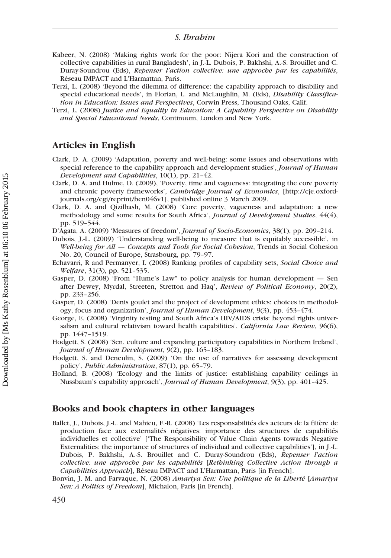- Kabeer, N. (2008) 'Making rights work for the poor: Nijera Kori and the construction of collective capabilities in rural Bangladesh', in J.-L. Dubois, P. Bakhshi, A.-S. Brouillet and C. Duray-Soundrou (Eds), *Repenser l'action collective: une approche par les capabilités*, Réseau IMPACT and L'Harmattan, Paris.
- Terzi, L. (2008) 'Beyond the dilemma of difference: the capability approach to disability and special educational needs', in Florian, L. and McLaughlin, M. (Eds), *Disability Classification in Education: Issues and Perspectives*, Corwin Press, Thousand Oaks, Calif.
- Terzi, L. (2008) *Justice and Equality in Education: A Capability Perspective on Disability and Special Educational Needs*, Continuum, London and New York.

#### **Articles in English**

- Clark, D. A. (2009) 'Adaptation, poverty and well-being: some issues and observations with special reference to the capability approach and development studies', *Journal of Human Development and Capabilities*, 10(1), pp. 21–42.
- Clark, D. A. and Hulme, D. (2009), 'Poverty, time and vagueness: integrating the core poverty and chronic poverty frameworks', *Cambridge Journal of Economics*, [http://cje.oxfordjournals.org/cgi/reprint/ben046v1], published online 3 March 2009.
- Clark, D. A. and Qizilbash, M. (2008) 'Core poverty, vagueness and adaptation: a new methodology and some results for South Africa', *Journal of Development Studies*, 44(4), pp. 519–544.
- D'Agata, A. (2009) 'Measures of freedom', *Journal of Socio-Economics*, 38(1), pp. 209–214.
- Dubois, J.-L. (2009) 'Understanding well-being to measure that is equitably accessible', in *Well-being for All — Concepts and Tools for Social Cohesion*, Trends in Social Cohesion No. 20, Council of Europe, Strasbourg, pp. 79–97.
- Echavarri, R and Permanyer, I. (2008) Ranking profiles of capability sets, *Social Choice and Welfare*, 31(3), pp. 521–535.
- Gasper, D. (2008) 'From "Hume's Law" to policy analysis for human development Sen after Dewey, Myrdal, Streeten, Stretton and Haq', *Review of Political Economy*, 20(2), pp. 233–256.
- Gasper, D. (2008) 'Denis goulet and the project of development ethics: choices in methodology, focus and organization', *Journal of Human Development*, 9(3), pp. 453–474.
- George, E. (2008) 'Virginity testing and South Africa's HIV/AIDS crisis: beyond rights universalism and cultural relativism toward health capabilities', *California Law Review*, 96(6), pp. 1447–1519.
- Hodgett, S. (2008) 'Sen, culture and expanding participatory capabilities in Northern Ireland', *Journal of Human Development*, 9(2), pp. 165–183.
- Hodgett, S. and Deneulin, S. (2009) 'On the use of narratives for assessing development policy', *Public Administration*, 87(1), pp. 65–79.
- Holland, B. (2008) 'Ecology and the limits of justice: establishing capability ceilings in Nussbaum's capability approach', *Journal of Human Development*, 9(3), pp. 401–425.

#### **Books and book chapters in other languages**

- Ballet, J., Dubois, J.-L. and Mahieu, F.-R. (2008) 'Les responsabilités des acteurs de la filière de production face aux externalités négatives: importance des structures de capabilités individuelles et collective' ['The Responsibility of Value Chain Agents towards Negative Externalities: the importance of structures of individual and collective capabilities'], in J.-L. Dubois, P. Bakhshi, A.-S. Brouillet and C. Duray-Soundrou (Eds), *Repenser l'action collective: une approche par les capabilités* [*Rethinking Collective Action through a Capabilities Approach*], Réseau IMPACT and L'Harmattan, Paris [in French].
- Bonvin, J. M. and Farvaque, N. (2008) *Amartya Sen: Une politique de la Liberté* [*Amartya Sen: A Politics of Freedom*], Michalon, Paris [in French].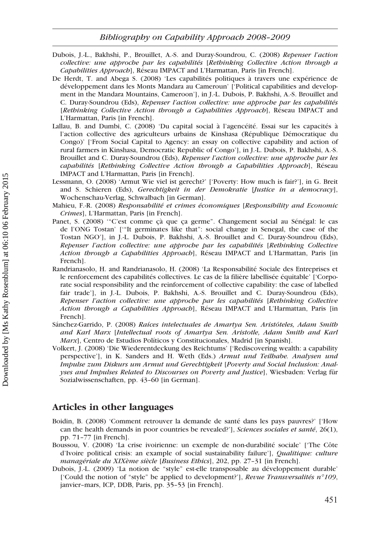#### *Bibliography on Capability Approach 2008–2009*

- Dubois, J.-L., Bakhshi, P., Brouillet, A.-S. and Duray-Soundrou, C. (2008) *Repenser l'action collective: une approche par les capabilités* [*Rethinking Collective Action through a Capabilities Approach*], Réseau IMPACT and L'Harmattan, Paris [in French].
- De Herdt, T. and Abega S. (2008) 'Les capabilités politiques à travers une expérience de développement dans les Monts Mandara au Cameroun' ['Political capabilities and development in the Mandara Mountains, Cameroon'], in J.-L. Dubois, P. Bakhshi, A.-S. Brouillet and C. Duray-Soundrou (Eds), *Repenser l'action collective: une approche par les capabilités* [*Rethinking Collective Action through a Capabilities Approach*], Réseau IMPACT and L'Harmattan, Paris [in French].
- Lallau, B. and Dumbi, C. (2008) 'Du capital social à l'agencéité. Essai sur les capacités à l'action collective des agriculteurs urbains de Kinshasa (République Démocratique du Congo)' ['From Social Capital to Agency: an essay on collective capability and action of rural farmers in Kinshasa, Democratic Republic of Congo'], in J.-L. Dubois, P. Bakhshi, A.-S. Brouillet and C. Duray-Soundrou (Eds), *Repenser l'action collective: une approche par les capabilités* [*Rethinking Collective Action through a Capabilities Approach*], Réseau IMPACT and L'Harmattan, Paris [in French].
- Lessmann, O. (2008) 'Armut Wie viel ist gerecht?' ['Poverty: How much is fair?'], in G. Breit and S. Schieren (Eds), *Gerechtigkeit in der Demokratie* [*Justice in a democracy*], Wochenschau-Verlag, Schwalbach [in German].
- Mahieu, F.-R. (2008) *Responsabilité et crimes économiques* [*Responsibility and Economic Crimes*], L'Harmattan, Paris [in French].
- Panet, S. (2008) '"C'est comme çà que ça germe". Changement social au Sénégal: le cas de l'ONG Tostan' ['"It germinates like that": social change in Senegal, the case of the Tostan NGO'], in J.-L. Dubois, P. Bakhshi, A.-S. Brouillet and C. Duray-Soundrou (Eds), *Repenser l'action collective: une approche par les capabilités* [*Rethinking Collective Action through a Capabilities Approach*], Réseau IMPACT and L'Harmattan, Paris [in French].
- Randrianasolo, H. and Randrianasolo, H. (2008) 'La Responsabilité Sociale des Entreprises et le renforcement des capabilités collectives. Le cas de la filière labellisée équitable' ['Corporate social responsibility and the reinforcement of collective capability: the case of labelled fair trade'], in J.-L. Dubois, P. Bakhshi, A.-S. Brouillet and C. Duray-Soundrou (Eds), *Repenser l'action collective: une approche par les capabilités* [*Rethinking Collective Action through a Capabilities Approach*], Réseau IMPACT and L'Harmattan, Paris [in French].
- Sánchez-Garrido, P. (2008) *Raíces intelectuales de Amartya Sen. Aristóteles, Adam Smith and Karl Marx* [*Intellectual roots of Amartya Sen. Aristotle, Adam Smith and Karl Marx*], Centro de Estudios Políticos y Constitucionales, Madrid [in Spanish].
- Volkert, J. (2008) 'Die Wiederentdeckung des Reichtums' ['Rediscovering wealth: a capability perspective'], in K. Sanders and H. Weth (Eds.) *Armut und Teilhabe. Analysen und Impulse zum Diskurs um Armut und Gerechtigkeit* [*Poverty and Social Inclusion: Analyses and Impulses Related to Discourses on Poverty and Justice*], Wiesbaden: Verlag für Sozialwissenschaften, pp. 43–60 [in German].

### **Articles in other languages**

- Boidin, B. (2008) 'Comment retrouver la demande de santé dans les pays pauvres?' ['How can the health demands in poor countries be revealed?'], *Sciences sociales et santé*, 26(1), pp. 71–77 [in French].
- Boussou, V. (2008) 'La crise ivoirienne: un exemple de non-durabilité sociale' ['The Côte d'Ivoire political crisis: an example of social sustainability failure'], *Qualitique: culture managériale du XIXème siècle* [*Business Ethics*], 202, pp. 27–31 [in French].
- Dubois, J.-L. (2009) 'La notion de "style" est-elle transposable au développement durable' ['Could the notion of "style" be applied to development?'], *Revue Transversalités n*°*109*, janvier–mars, ICP, DDB, Paris, pp. 35–53 [in French].